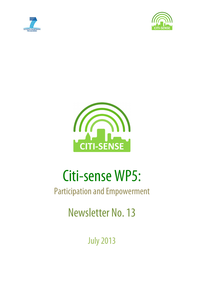





# Citi-sense WP5:

# Participation and Empowerment

Newsletter No. 13

**July 2013**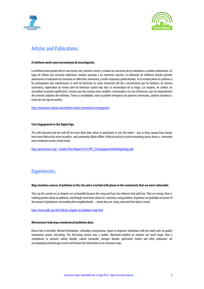



## Articles and Publications.

#### **El teléfono móvil como herramienta de investigación.**

La telefonía móvil puede ofrecer aún mucho más: permite conocer y evaluar las reacciones de los individuos a cambios ambientales. En lugar de utilizar una encuesta tradicional, siempre asociada a un momento concreto, la utilización de teléfonos móviles permite plantearnos la realización de encuestas en diferentes momentos y recibir respuestas geolocalizadas. En el estudio piloto les pedimos a los participantes que manifestasen su nivel de bienestar en varios momentos del día y encontramos que los hombres, de manera sistemática, expresaban un menor nivel de bienestar cuanto más lejos se encontraban de su hogar. Las mujeres, en cambio, no mostraban un patrón significativo. Creemos que hay muchas otras variables, relacionadas o no con el bienestar, que son dependientes del contexto subjetivo del individuo. Tanto su variabilidad, como la posible emergencia de patrones universales, podrían estudiarse a través de este tipo de análisis.

http://innovacion.ticbeat.com/telefono-movil-herramienta-investigacion/

#### **Civic Engagement in the Digital Age.**

The well-educated and the well-off are more likely than others to participate in civic life online – just as those groups have always been more likely to be active in politics and community affairs offline. Political activity in social networking spaces shows a somewhat more moderate version of that trend.

http://pewinternet.org/~/media//Files/Reports/2013/PIP\_CivicEngagementintheDigitalAge.pdf

### Experiencies.

#### **Map visualizes sources of pollution in the city and is overlaid with places in the community that are most vulnerable.**

They say the sunsets in Los Angeles are so beautiful because the smog and hazy sky enhances that pink hue. They are wrong, there is nothing positive about air pollution, and though most know about LA's notorious smog problem, Angelenos are probably not aware of the amount of pollutants surrounding their neighborhoods – where they eat, sleep, and send their kids to school.

http://www.psfk.com/2013/06/los-angeles-air-pollution-map.html

#### **Microsensors help map crowdsourced pollution data.**

Elena Craft in GreenBiz: Michael Heimbinder, a Brooklyn entrepreneur, hopes to empower individuals with his small-scale air quality monitoring system, AirCasting. The AirCasting system uses a mobile, Bluetooth-enabled air monitor not much larger than a smartphone to measure carbon dioxide, carbon monoxide, nitrogen dioxide, particulate matter and other pollutants. An accompanying Android app records and formats the information to an emissions map.